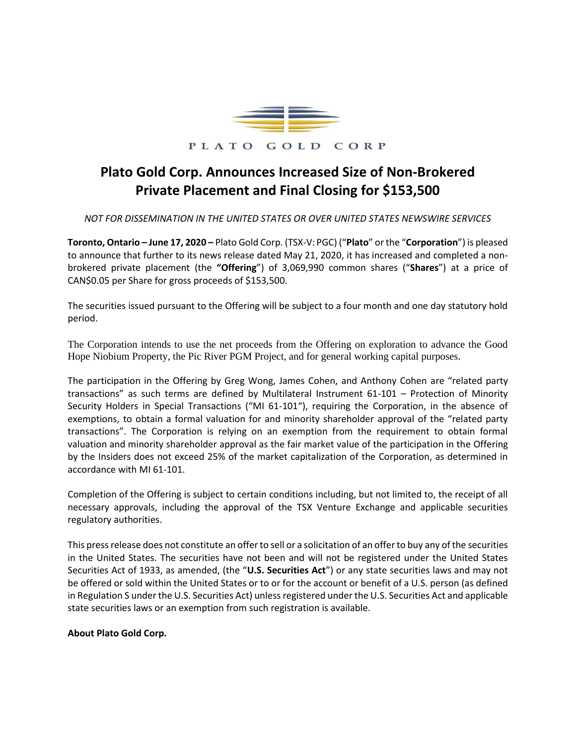

## PLATO GOLD CORP

## **Plato Gold Corp. Announces Increased Size of Non-Brokered Private Placement and Final Closing for \$153,500**

*NOT FOR DISSEMINATION IN THE UNITED STATES OR OVER UNITED STATES NEWSWIRE SERVICES*

**Toronto, Ontario – June 17, 2020 –** Plato Gold Corp. (TSX-V: PGC) ("**Plato**" or the "**Corporation**") is pleased to announce that further to its news release dated May 21, 2020, it has increased and completed a nonbrokered private placement (the **"Offering**") of 3,069,990 common shares ("**Shares**") at a price of CAN\$0.05 per Share for gross proceeds of \$153,500.

The securities issued pursuant to the Offering will be subject to a four month and one day statutory hold period.

The Corporation intends to use the net proceeds from the Offering on exploration to advance the Good Hope Niobium Property, the Pic River PGM Project, and for general working capital purposes.

The participation in the Offering by Greg Wong, James Cohen, and Anthony Cohen are "related party transactions" as such terms are defined by Multilateral Instrument 61-101 – Protection of Minority Security Holders in Special Transactions ("MI 61-101"), requiring the Corporation, in the absence of exemptions, to obtain a formal valuation for and minority shareholder approval of the "related party transactions". The Corporation is relying on an exemption from the requirement to obtain formal valuation and minority shareholder approval as the fair market value of the participation in the Offering by the Insiders does not exceed 25% of the market capitalization of the Corporation, as determined in accordance with MI 61-101.

Completion of the Offering is subject to certain conditions including, but not limited to, the receipt of all necessary approvals, including the approval of the TSX Venture Exchange and applicable securities regulatory authorities.

This press release does not constitute an offer to sell or a solicitation of an offer to buy any of the securities in the United States. The securities have not been and will not be registered under the United States Securities Act of 1933, as amended, (the "**U.S. Securities Act**") or any state securities laws and may not be offered or sold within the United States or to or for the account or benefit of a U.S. person (as defined in Regulation S under the U.S. Securities Act) unless registered under the U.S. Securities Act and applicable state securities laws or an exemption from such registration is available.

## **About Plato Gold Corp.**